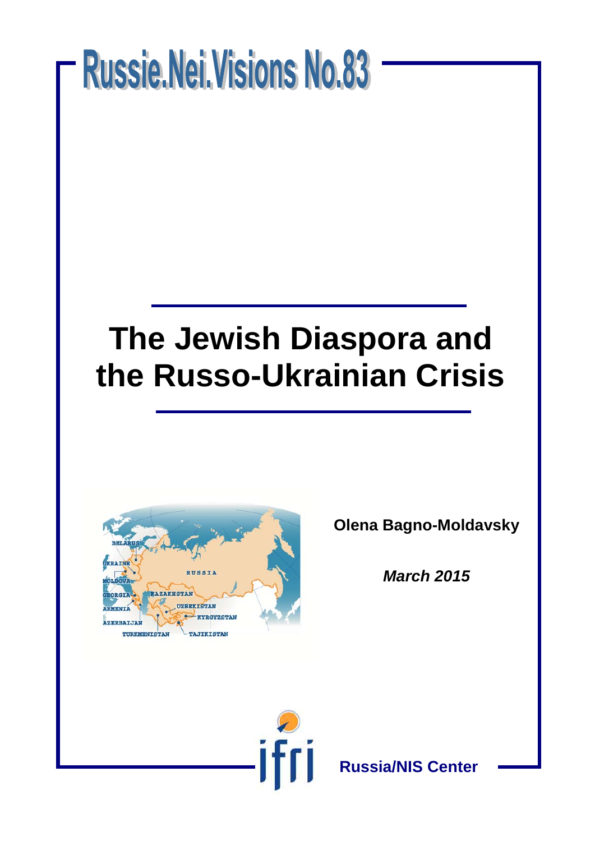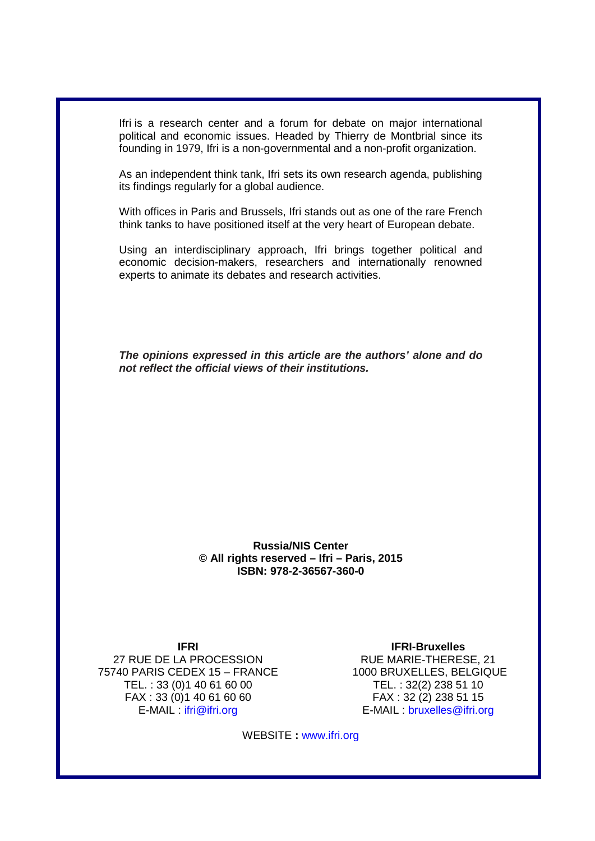Ifri is a research center and a forum for debate on major international political and economic issues. Headed by Thierry de Montbrial since its founding in 1979, Ifri is a non-governmental and a non-profit organization.

As an independent think tank, Ifri sets its own research agenda, publishing its findings regularly for a global audience.

With offices in Paris and Brussels, Ifri stands out as one of the rare French think tanks to have positioned itself at the very heart of European debate.

Using an interdisciplinary approach, Ifri brings together political and economic decision-makers, researchers and internationally renowned experts to animate its debates and research activities.

*The opinions expressed in this article are the authors' alone and do not reflect the official views of their institutions.*

#### **Russia/NIS Center © All rights reserved – Ifri – Paris, 2015 ISBN: 978-2-36567-360-0**

**IFRI**  27 RUE DE LA PROCESSION 75740 PARIS CEDEX 15 – FRANCE TEL. : 33 (0)1 40 61 60 00 FAX : 33 (0)1 40 61 60 60 E-MAIL : ifri@ifri.org

**IFRI-Bruxelles** RUE MARIE-THERESE, 21 1000 BRUXELLES, BELGIQUE TEL. : 32(2) 238 51 10 FAX : 32 (2) 238 51 15 E-MAIL : bruxelles@ifri.org

WEBSITE **:** www.ifri.org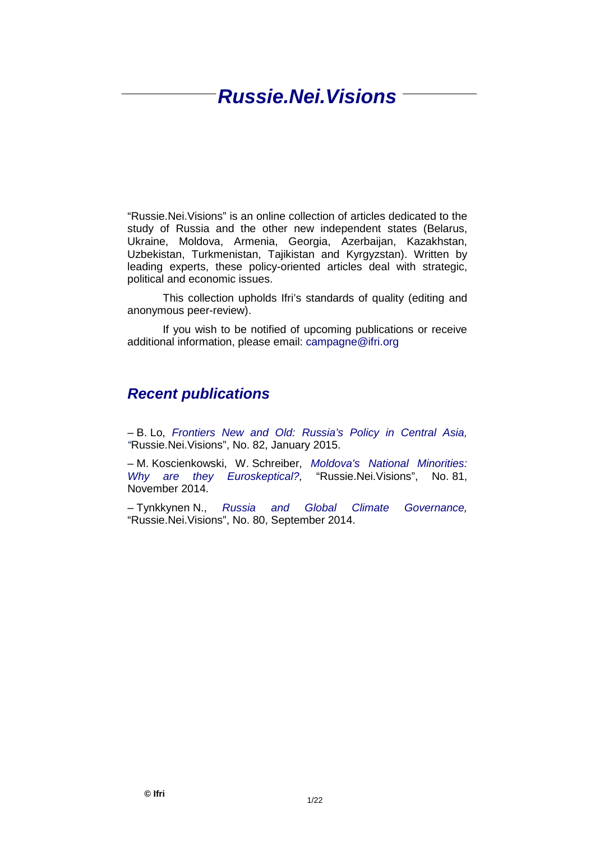# *Russie.Nei.Visions*

"Russie.Nei.Visions" is an online collection of articles dedicated to the study of Russia and the other new independent states (Belarus, Ukraine, Moldova, Armenia, Georgia, Azerbaijan, Kazakhstan, Uzbekistan, Turkmenistan, Tajikistan and Kyrgyzstan). Written by leading experts, these policy-oriented articles deal with strategic, political and economic issues.

This collection upholds Ifri's standards of quality (editing and anonymous peer-review).

If you wish to be notified of upcoming publications or receive additional information, please email: [campagne@ifri.org](mailto:campagne@ifri.org)

### *Recent publications*

– B. Lo, *Frontiers New and Old: [Russia's Policy in Central Asia,](http://www.ifri.org/sites/default/files/atoms/files/ifri_rnv_82_central_asia_bobolo_eng_january_2015_0.pdf)  "*[Russie.Nei.Visions", No.](http://www.ifri.org/sites/default/files/atoms/files/ifri_rnv_82_central_asia_bobolo_eng_january_2015_0.pdf) 82, January 2015.

– M. Koscienkowski, W. Schreiber, *Moldova's [National Minorities:](http://www.ifri.org/sites/default/files/atoms/files/ifri_rnv_81_eng_moldova_minorities_november_2014_0.pdf)  [Why are they Euroskeptical?,](http://www.ifri.org/sites/default/files/atoms/files/ifri_rnv_81_eng_moldova_minorities_november_2014_0.pdf)* "Russie.Nei.Visions", No. 81, November 2014.

– Tynkkynen N., *[Russia and Global Climate Governance,](http://www.ifri.org/sites/default/files/atoms/files/ifri_rnv_80_eng_tynkkynen_russiaclimatepolitics_september_2014_2.pdf)* "Russie.Nei.Visions", No. 80, September 2014.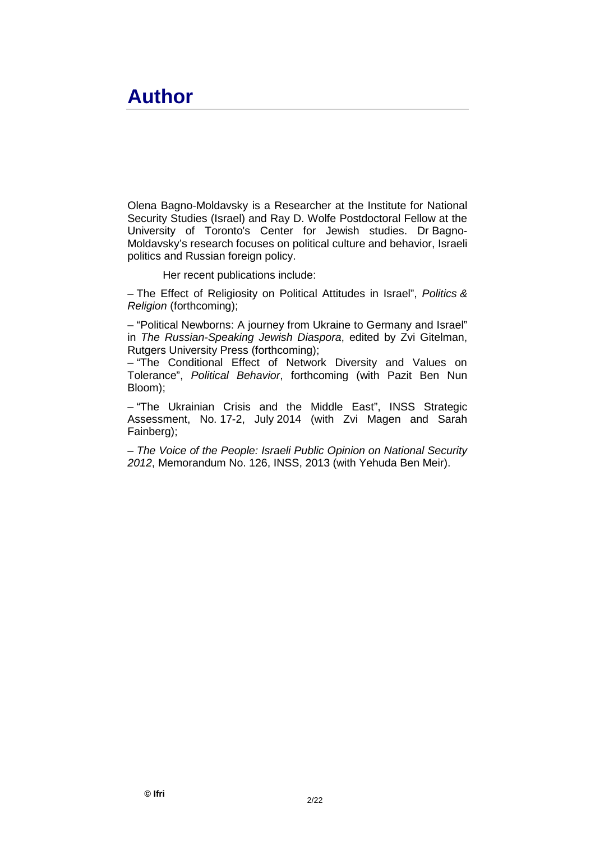# **Author**

Olena Bagno-Moldavsky is a Researcher at the Institute for National Security Studies (Israel) and Ray D. Wolfe Postdoctoral Fellow at the University of Toronto's Center for Jewish studies. Dr Bagno-Moldavsky's research focuses on political culture and behavior, Israeli politics and Russian foreign policy.

Her recent publications include:

– The Effect of Religiosity on Political Attitudes in Israel", *Politics & Religion* (forthcoming);

– "Political Newborns: A journey from Ukraine to Germany and Israel" in *The Russian-Speaking Jewish Diaspora*, edited by Zvi Gitelman, Rutgers University Press (forthcoming);

– "The Conditional Effect of Network Diversity and Values on Tolerance", *Political Behavior*, forthcoming (with Pazit Ben Nun Bloom);

– "The Ukrainian Crisis and the Middle East", INSS Strategic Assessment, No. 17-2, July 2014 (with Zvi Magen and Sarah Fainberg);

– *The Voice of the People: Israeli Public Opinion on National Security 2012*, Memorandum No. 126, INSS, 2013 (with Yehuda Ben Meir).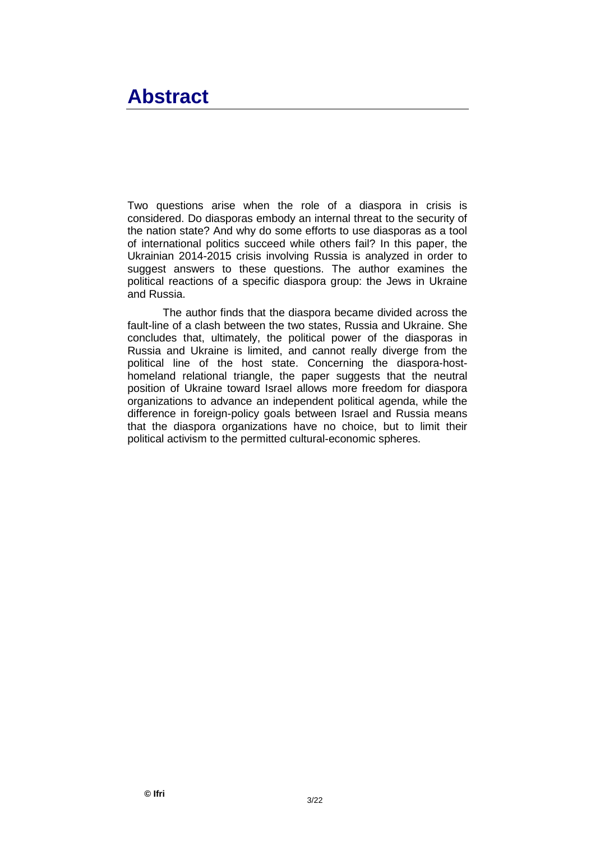# **Abstract**

Two questions arise when the role of a diaspora in crisis is considered. Do diasporas embody an internal threat to the security of the nation state? And why do some efforts to use diasporas as a tool of international politics succeed while others fail? In this paper, the Ukrainian 2014-2015 crisis involving Russia is analyzed in order to suggest answers to these questions. The author examines the political reactions of a specific diaspora group: the Jews in Ukraine and Russia.

The author finds that the diaspora became divided across the fault-line of a clash between the two states, Russia and Ukraine. She concludes that, ultimately, the political power of the diasporas in Russia and Ukraine is limited, and cannot really diverge from the political line of the host state. Concerning the diaspora-hosthomeland relational triangle, the paper suggests that the neutral position of Ukraine toward Israel allows more freedom for diaspora organizations to advance an independent political agenda, while the difference in foreign-policy goals between Israel and Russia means that the diaspora organizations have no choice, but to limit their political activism to the permitted cultural-economic spheres.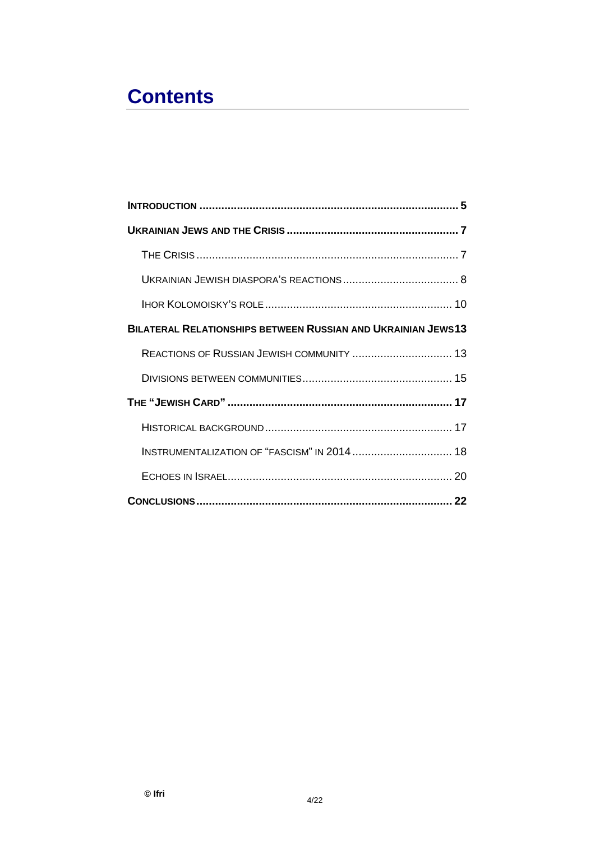# **Contents**

| BILATERAL RELATIONSHIPS BETWEEN RUSSIAN AND UKRAINIAN JEWS13 |  |
|--------------------------------------------------------------|--|
| REACTIONS OF RUSSIAN JEWISH COMMUNITY  13                    |  |
|                                                              |  |
|                                                              |  |
|                                                              |  |
| INSTRUMENTALIZATION OF "FASCISM" IN 2014  18                 |  |
|                                                              |  |
|                                                              |  |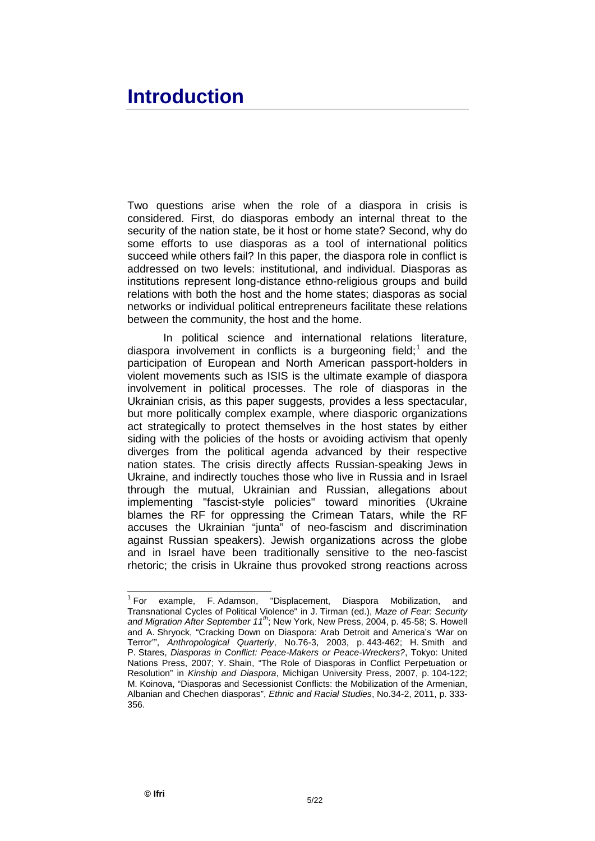# <span id="page-6-0"></span>**Introduction**

Two questions arise when the role of a diaspora in crisis is considered. First, do diasporas embody an internal threat to the security of the nation state, be it host or home state? Second, why do some efforts to use diasporas as a tool of international politics succeed while others fail? In this paper, the diaspora role in conflict is addressed on two levels: institutional, and individual. Diasporas as institutions represent long-distance ethno-religious groups and build relations with both the host and the home states; diasporas as social networks or individual political entrepreneurs facilitate these relations between the community, the host and the home.

In political science and international relations literature, diaspora involvement in conflicts is a burgeoning field;<sup>[1](#page-6-1)</sup> and the participation of European and North American passport-holders in violent movements such as ISIS is the ultimate example of diaspora involvement in political processes. The role of diasporas in the Ukrainian crisis, as this paper suggests, provides a less spectacular, but more politically complex example, where diasporic organizations act strategically to protect themselves in the host states by either siding with the policies of the hosts or avoiding activism that openly diverges from the political agenda advanced by their respective nation states. The crisis directly affects Russian-speaking Jews in Ukraine, and indirectly touches those who live in Russia and in Israel through the mutual, Ukrainian and Russian, allegations about implementing "fascist-style policies" toward minorities (Ukraine blames the RF for oppressing the Crimean Tatars, while the RF accuses the Ukrainian "junta" of neo-fascism and discrimination against Russian speakers). Jewish organizations across the globe and in Israel have been traditionally sensitive to the neo-fascist rhetoric; the crisis in Ukraine thus provoked strong reactions across

<span id="page-6-1"></span> <sup>1</sup> For example, F. Adamson, "Displacement, Diaspora Mobilization, and Transnational Cycles of Political Violence" in J. Tirman (ed.), *Maze of Fear: Security and Migration After September 11th*; New York, New Press, 2004, p. 45-58; S. Howell and A. Shryock, "Cracking Down on Diaspora: Arab Detroit and America's 'War on Terror'", *Anthropological Quarterly*, No.76-3, 2003, p. 443-462; H. Smith and P. Stares, *Diasporas in Conflict: Peace-Makers or Peace-Wreckers?*, Tokyo: United Nations Press, 2007; Y. Shain, "The Role of Diasporas in Conflict Perpetuation or Resolution" in *Kinship and Diaspora*, Michigan University Press, 2007, p. 104-122; M. Koinova, "Diasporas and Secessionist Conflicts: the Mobilization of the Armenian, Albanian and Chechen diasporas", *Ethnic and Racial Studies*, No.34-2, 2011, p. 333- 356.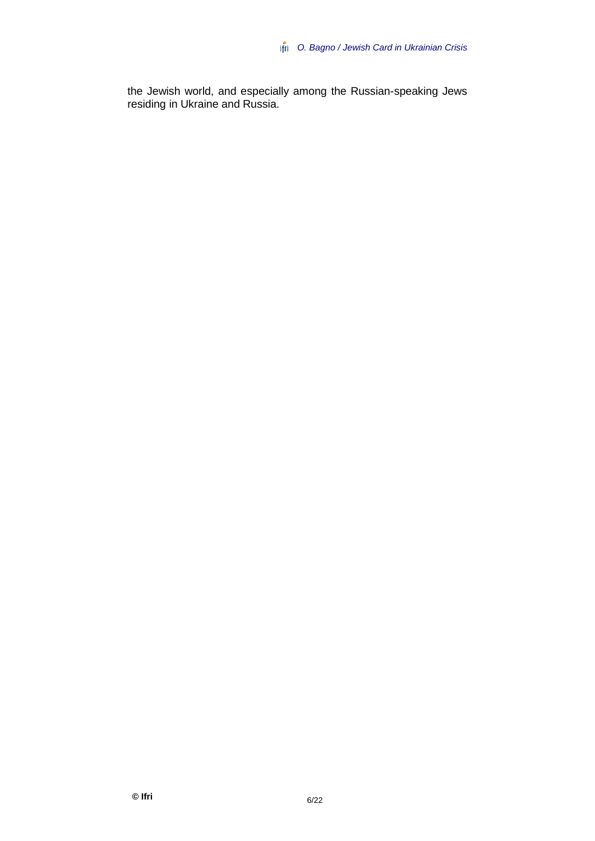the Jewish world, and especially among the Russian-speaking Jews residing in Ukraine and Russia.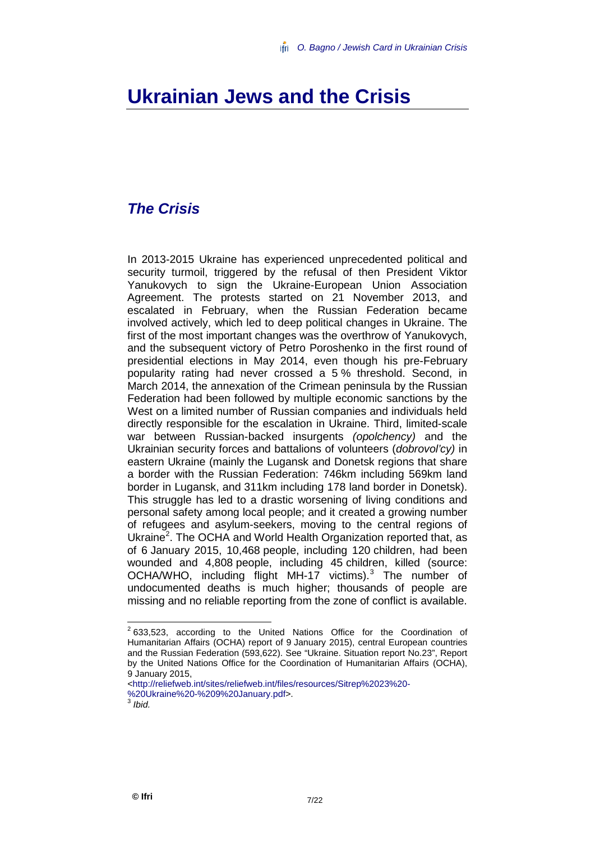## <span id="page-8-0"></span>**Ukrainian Jews and the Crisis**

### <span id="page-8-1"></span>*The Crisis*

In 2013-2015 Ukraine has experienced unprecedented political and security turmoil, triggered by the refusal of then President Viktor Yanukovych to sign the Ukraine-European Union Association Agreement. The protests started on 21 November 2013, and escalated in February, when the Russian Federation became involved actively, which led to deep political changes in Ukraine. The first of the most important changes was the overthrow of Yanukovych, and the subsequent victory of Petro Poroshenko in the first round of presidential elections in May 2014, even though his pre-February popularity rating had never crossed a 5 % threshold. Second, in March 2014, the annexation of the Crimean peninsula by the Russian Federation had been followed by multiple economic sanctions by the West on a limited number of Russian companies and individuals held directly responsible for the escalation in Ukraine. Third, limited-scale war between Russian-backed insurgents *(opolchency)* and the Ukrainian security forces and battalions of volunteers (*dobrovol'cy)* in eastern Ukraine (mainly the Lugansk and Donetsk regions that share a border with the Russian Federation: 746km including 569km land border in Lugansk, and 311km including 178 land border in Donetsk). This struggle has led to a drastic worsening of living conditions and personal safety among local people; and it created a growing number of refugees and asylum-seekers, moving to the central regions of Ukraine<sup>[2](#page-8-2)</sup>. The OCHA and World Health Organization reported that, as of 6 January 2015, 10,468 people, including 120 children, had been wounded and 4,808 people, including 45 children, killed (source: OCHA/WHO, including flight MH-17 victims). [3](#page-8-3) The number of undocumented deaths is much higher; thousands of people are missing and no reliable reporting from the zone of conflict is available.

<span id="page-8-2"></span><sup>&</sup>lt;sup>2</sup> 633.523. according to the United Nations Office for the Coordination of Humanitarian Affairs (OCHA) report of 9 January 2015), central European countries and the Russian Federation (593,622). See "Ukraine. Situation report No.23", Report by the United Nations Office for the Coordination of Humanitarian Affairs (OCHA), 9 January 2015,

<span id="page-8-3"></span>[<sup>&</sup>lt;http://reliefweb.int/sites/reliefweb.int/files/resources/Sitrep%2023%20-](http://reliefweb.int/sites/reliefweb.int/files/resources/Sitrep%2023%20-%20Ukraine%20-%209%20January.pdf) [%20Ukraine%20-%209%20January.pdf>](http://reliefweb.int/sites/reliefweb.int/files/resources/Sitrep%2023%20-%20Ukraine%20-%209%20January.pdf). <sup>3</sup> *Ibid.*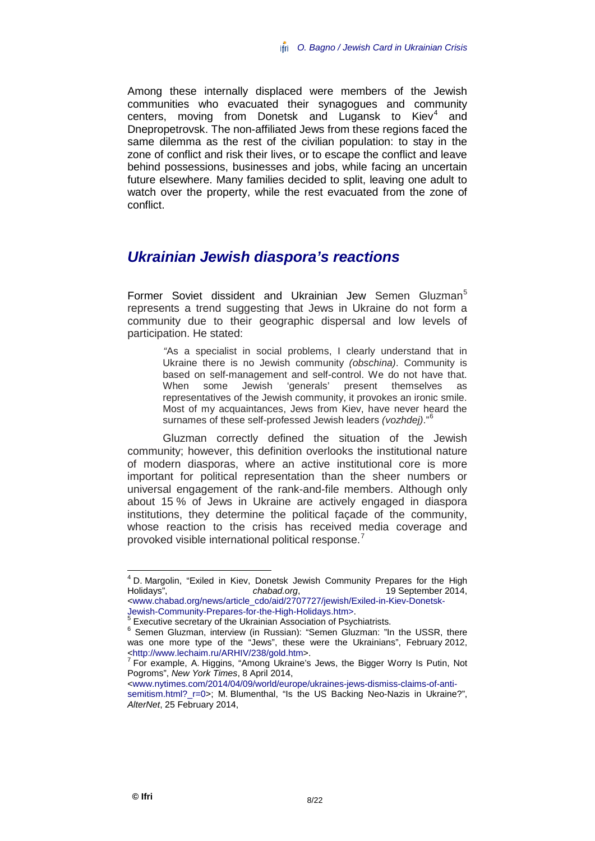Among these internally displaced were members of the Jewish communities who evacuated their synagogues and community centers, moving from Donetsk and Lugansk to Kiev $4$  and Dnepropetrovsk. The non-affiliated Jews from these regions faced the same dilemma as the rest of the civilian population: to stay in the zone of conflict and risk their lives, or to escape the conflict and leave behind possessions, businesses and jobs, while facing an uncertain future elsewhere. Many families decided to split, leaving one adult to watch over the property, while the rest evacuated from the zone of conflict.

### <span id="page-9-0"></span>*Ukrainian Jewish diaspora's reactions*

Former Soviet dissident and Ukrainian Jew Semen Gluzman<sup>[5](#page-9-2)</sup> represents a trend suggesting that Jews in Ukraine do not form a community due to their geographic dispersal and low levels of participation. He stated:

> *"*As a specialist in social problems, I clearly understand that in Ukraine there is no Jewish community *(obschina)*. Community is based on self-management and self-control. We do not have that. When some Jewish 'generals' present themselves as representatives of the Jewish community, it provokes an ironic smile. Most of my acquaintances, Jews from Kiev, have never heard the surnames of these self-professed Jewish leaders *(vozhdej)*." [6](#page-9-3)

Gluzman correctly defined the situation of the Jewish community; however, this definition overlooks the institutional nature of modern diasporas, where an active institutional core is more important for political representation than the sheer numbers or universal engagement of the rank-and-file members. Although only about 15 % of Jews in Ukraine are actively engaged in diaspora institutions, they determine the political façade of the community, whose reaction to the crisis has received media coverage and provoked visible international political response. [7](#page-9-4)

<span id="page-9-1"></span><sup>&</sup>lt;sup>4</sup> D. Margolin, "Exiled in Kiev, Donetsk Jewish Community Prepares for the High Holidays", *chabad.org*, 19 September 2014, [<www.chabad.org/news/article\\_cdo/aid/2707727/jewish/Exiled-in-Kiev-Donetsk-](http://www.chabad.org/news/article_cdo/aid/2707727/jewish/Exiled-in-Kiev-Donetsk-Jewish-Community-Prepares-for-the-High-Holidays.htm)

<span id="page-9-3"></span><span id="page-9-2"></span>[Jewish-Community-Prepares-for-the-High-Holidays.htm>](http://www.chabad.org/news/article_cdo/aid/2707727/jewish/Exiled-in-Kiev-Donetsk-Jewish-Community-Prepares-for-the-High-Holidays.htm).<br><sup>5</sup> Executive secretary of the Ukrainian Association of Psychiatrists.<br><sup>6</sup> Semen Gluzman, interview (in Russian): "Semen Gluzman: "In the USSR, there was one more type of the "Jews", these were the Ukrainians", February 2012, <http://www.lechaim.ru/ARHIV/238/qold.htm>.

<span id="page-9-4"></span> $\frac{7}{10}$  For example, A. Higgins, "Among Ukraine's Jews, the Bigger Worry Is Putin, Not Pogroms", *New York Times*, 8 April 2014,

[<sup>&</sup>lt;www.nytimes.com/2014/04/09/world/europe/ukraines-jews-dismiss-claims-of-anti](http://www.nytimes.com/2014/04/09/world/europe/ukraines-jews-dismiss-claims-of-anti-semitism.html?_r=0)[semitism.html?\\_r=0>](http://www.nytimes.com/2014/04/09/world/europe/ukraines-jews-dismiss-claims-of-anti-semitism.html?_r=0); M. Blumenthal, "Is the US Backing Neo-Nazis in Ukraine?", *AlterNet*, 25 February 2014,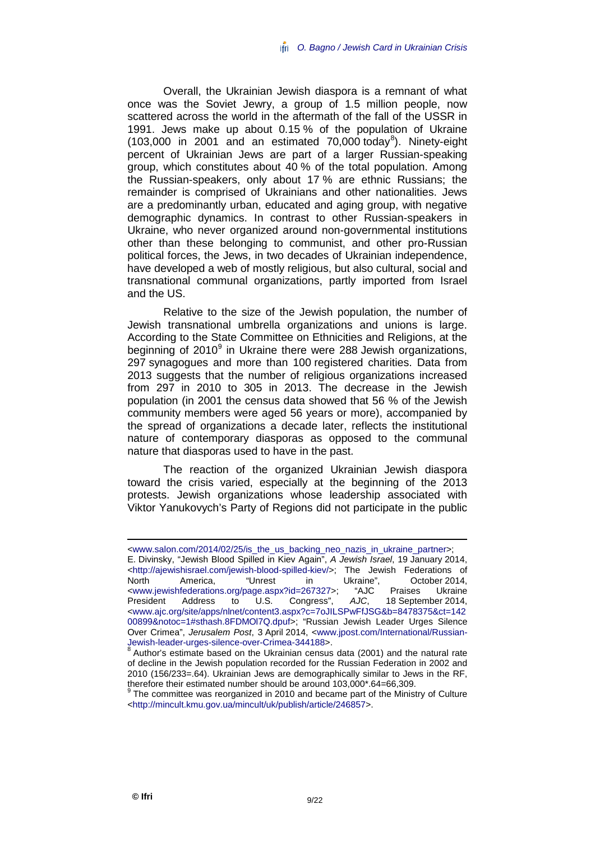Overall, the Ukrainian Jewish diaspora is a remnant of what once was the Soviet Jewry, a group of 1.5 million people, now scattered across the world in the aftermath of the fall of the USSR in 1991. Jews make up about 0.15 % of the population of Ukraine  $(103,000$  in 2001 and an estimated 70,000 today<sup>[8](#page-10-0)</sup>). Ninety-eight percent of Ukrainian Jews are part of a larger Russian-speaking group, which constitutes about 40 % of the total population. Among the Russian-speakers, only about 17 % are ethnic Russians; the remainder is comprised of Ukrainians and other nationalities. Jews are a predominantly urban, educated and aging group, with negative demographic dynamics. In contrast to other Russian-speakers in Ukraine, who never organized around non-governmental institutions other than these belonging to communist, and other pro-Russian political forces, the Jews, in two decades of Ukrainian independence, have developed a web of mostly religious, but also cultural, social and transnational communal organizations, partly imported from Israel and the US.

Relative to the size of the Jewish population, the number of Jewish transnational umbrella organizations and unions is large. According to the State Committee on Ethnicities and Religions, at the beginning of 2010<sup>[9](#page-10-1)</sup> in Ukraine there were 288 Jewish organizations, 297 synagogues and more than 100 registered charities. Data from 2013 suggests that the number of religious organizations increased from 297 in 2010 to 305 in 2013. The decrease in the Jewish population (in 2001 the census data showed that 56 % of the Jewish community members were aged 56 years or more), accompanied by the spread of organizations a decade later, reflects the institutional nature of contemporary diasporas as opposed to the communal nature that diasporas used to have in the past.

The reaction of the organized Ukrainian Jewish diaspora toward the crisis varied, especially at the beginning of the 2013 protests. Jewish organizations whose leadership associated with Viktor Yanukovych's Party of Regions did not participate in the public

[<www.salon.com/2014/02/25/is\\_the\\_us\\_backing\\_neo\\_nazis\\_in\\_ukraine\\_partner>](http://www.salon.com/2014/02/25/is_the_us_backing_neo_nazis_in_ukraine_partner); E. Divinsky, "Jewish Blood Spilled in Kiev Again", *A Jewish Israel*, 19 January 2014, [<http://ajewishisrael.com/jewish-blood-spilled-kiev/>](http://ajewishisrael.com/jewish-blood-spilled-kiev/); The Jewish Federations of North America, "Unrest in Ukraine", October 2014, [<www.jewishfederations.org/page.aspx?id=267327>](http://www.jewishfederations.org/page.aspx?id=267327); "AJC Praises Ukraine Address to U.S. Congress", AJC, 18 September 2014, [<www.ajc.org/site/apps/nlnet/content3.aspx?c=7oJILSPwFfJSG&b=8478375&ct=142](http://www.ajc.org/site/apps/nlnet/content3.aspx?c=7oJILSPwFfJSG&b=8478375&ct=14200899¬oc=1#sthash.8FDMOl7Q.dpuf) [00899&notoc=1#sthash.8FDMOl7Q.dpuf>](http://www.ajc.org/site/apps/nlnet/content3.aspx?c=7oJILSPwFfJSG&b=8478375&ct=14200899¬oc=1#sthash.8FDMOl7Q.dpuf); "Russian Jewish Leader Urges Silence Over Crimea", *Jerusalem Post*, 3 April 2014, [<www.jpost.com/International/Russian-](http://www.jpost.com/International/Russian-Jewish-leader-urges-silence-over-Crimea-344188)

<span id="page-10-0"></span><sup>&</sup>lt;sup>8</sup> Author's estimate based on the Ukrainian census data (2001) and the natural rate of decline in the Jewish population recorded for the Russian Federation in 2002 and 2010 (156/233=.64). Ukrainian Jews are demographically similar to Jews in the RF, therefore their estimated number should be around 103,000\*.64=66,309.

<span id="page-10-1"></span>The committee was reorganized in 2010 and became part of the Ministry of Culture [<http://mincult.kmu.gov.ua/mincult/uk/publish/article/246857>](http://mincult.kmu.gov.ua/mincult/uk/publish/article/246857).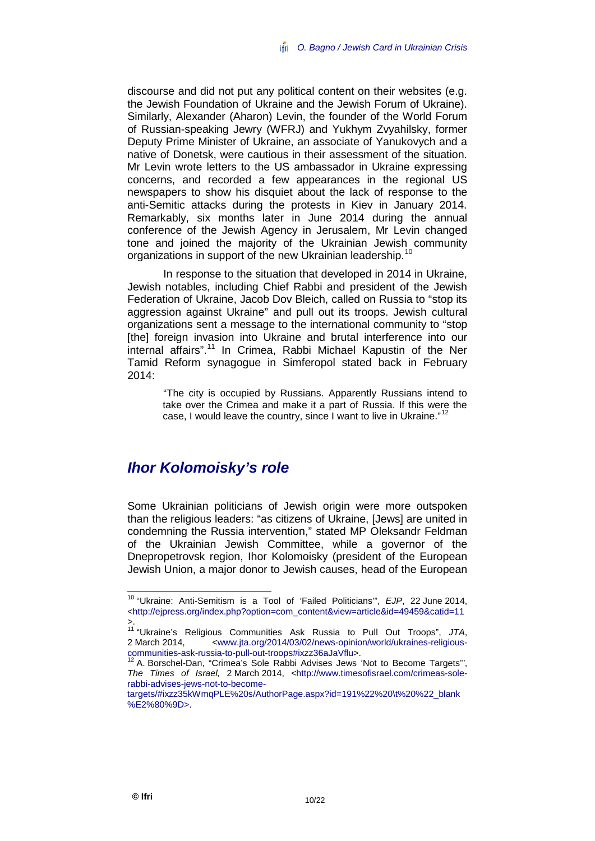discourse and did not put any political content on their websites (e.g. the Jewish Foundation of Ukraine and the Jewish Forum of Ukraine). Similarly, Alexander (Aharon) Levin, the founder of the World Forum of Russian-speaking Jewry (WFRJ) and Yukhym Zvyahilsky, former Deputy Prime Minister of Ukraine, an associate of Yanukovych and a native of Donetsk, were cautious in their assessment of the situation. Mr Levin wrote letters to the US ambassador in Ukraine expressing concerns, and recorded a few appearances in the regional US newspapers to show his disquiet about the lack of response to the anti-Semitic attacks during the protests in Kiev in January 2014. Remarkably, six months later in June 2014 during the annual conference of the Jewish Agency in Jerusalem, Mr Levin changed tone and joined the majority of the Ukrainian Jewish community organizations in support of the new Ukrainian leadership.<sup>[10](#page-11-1)</sup>

In response to the situation that developed in 2014 in Ukraine, Jewish notables, including Chief Rabbi and president of the Jewish Federation of Ukraine, Jacob Dov Bleich, called on Russia to "stop its aggression against Ukraine" and pull out its troops. Jewish cultural organizations sent a message to the international community to "stop [the] foreign invasion into Ukraine and brutal interference into our internal affairs". [11](#page-11-2) In Crimea, Rabbi Michael Kapustin of the Ner Tamid Reform synagogue in Simferopol stated back in February 2014:

> "The city is occupied by Russians. Apparently Russians intend to take over the Crimea and make it a part of Russia. If this were the case, I would leave the country, since I want to live in Ukraine."<sup>[12](#page-11-3)</sup>

#### <span id="page-11-0"></span>*Ihor Kolomoisky's role*

Some Ukrainian politicians of Jewish origin were more outspoken than the religious leaders: "as citizens of Ukraine, [Jews] are united in condemning the Russia intervention," stated MP Oleksandr Feldman of the Ukrainian Jewish Committee, while a governor of the Dnepropetrovsk region, Ihor Kolomoisky (president of the European Jewish Union, a major donor to Jewish causes, head of the European

<span id="page-11-1"></span> <sup>10</sup> "Ukraine: Anti-Semitism is a Tool of 'Failed Politicians'", *EJP*, 22 June 2014, [<http://ejpress.org/index.php?option=com\\_content&view=article&id=49459&catid=11](http://ejpress.org/index.php?option=com_content&view=article&id=49459&catid=11)

<span id="page-11-2"></span><sup>&</sup>gt;. <sup>11</sup> "Ukraine's Religious Communities Ask Russia to Pull Out Troops", *JTA*, 2 March 2014, ewww.jta.org/2014/03/02/news-opinion/world/ukraines-religious-<br>communities-ask-russia-to-pull-out-troops#ixzz36aJaVflu>.

<span id="page-11-3"></span> $12$  A. Borschel-Dan, "Crimea's Sole Rabbi Advises Jews 'Not to Become Targets'", *The Times of Israel,* 2 March 2014, [<http://www.timesofisrael.com/crimeas-sole](http://www.timesofisrael.com/crimeas-sole-rabbi-advises-jews-not-to-become-targets/#ixzz35kWmqPLE%20s/AuthorPage.aspx?id=191%22%20\t%20%22_blank%E2%80%9D)[rabbi-advises-jews-not-to-become-](http://www.timesofisrael.com/crimeas-sole-rabbi-advises-jews-not-to-become-targets/#ixzz35kWmqPLE%20s/AuthorPage.aspx?id=191%22%20\t%20%22_blank%E2%80%9D)

[targets/#ixzz35kWmqPLE%20s/AuthorPage.aspx?id=191%22%20\t%20%22\\_blank](http://www.timesofisrael.com/crimeas-sole-rabbi-advises-jews-not-to-become-targets/#ixzz35kWmqPLE%20s/AuthorPage.aspx?id=191%22%20\t%20%22_blank%E2%80%9D) [%E2%80%9D>](http://www.timesofisrael.com/crimeas-sole-rabbi-advises-jews-not-to-become-targets/#ixzz35kWmqPLE%20s/AuthorPage.aspx?id=191%22%20\t%20%22_blank%E2%80%9D).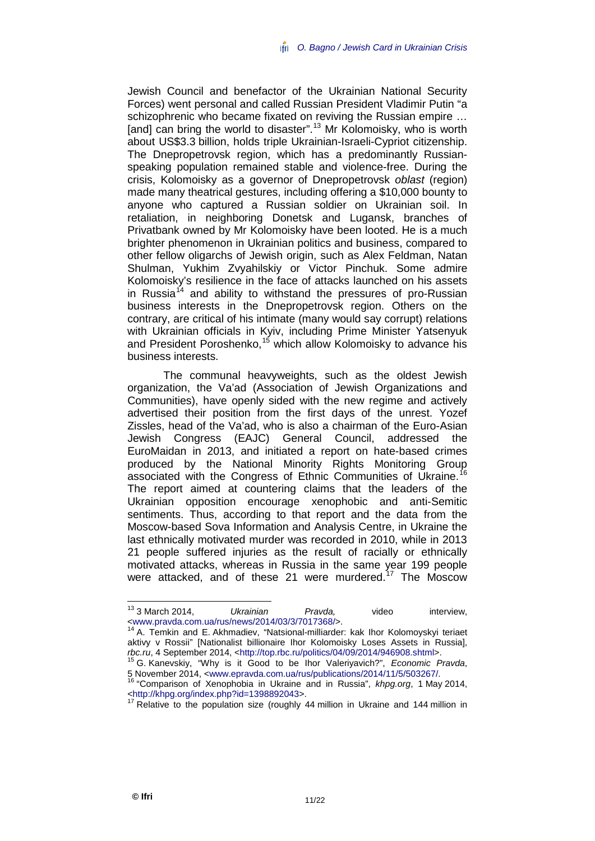Jewish Council and benefactor of the Ukrainian National Security Forces) went personal and called Russian President Vladimir Putin "a schizophrenic who became fixated on reviving the Russian empire … [and] can bring the world to disaster".<sup>[13](#page-12-0)</sup> Mr Kolomoisky, who is worth about US\$3.3 billion, holds triple Ukrainian-Israeli-Cypriot citizenship. The Dnepropetrovsk region, which has a predominantly Russianspeaking population remained stable and violence-free. During the crisis, Kolomoisky as a governor of Dnepropetrovsk *oblast* (region) made many theatrical gestures, including offering a \$10,000 bounty to anyone who captured a Russian soldier on Ukrainian soil. In retaliation, in neighboring Donetsk and Lugansk, branches of Privatbank owned by Mr Kolomoisky have been looted. He is a much brighter phenomenon in Ukrainian politics and business, compared to other fellow oligarchs of Jewish origin, such as Alex Feldman, Natan Shulman, Yukhim Zvyahilskiy or Victor Pinchuk. Some admire Kolomoisky's resilience in the face of attacks launched on his assets in Russia<sup>[14](#page-12-1)</sup> and ability to withstand the pressures of pro-Russian business interests in the Dnepropetrovsk region. Others on the contrary, are critical of his intimate (many would say corrupt) relations with Ukrainian officials in Kyiv, including Prime Minister Yatsenyuk and President Poroshenko,<sup>[15](#page-12-2)</sup> which allow Kolomoisky to advance his business interests.

The communal heavyweights, such as the oldest Jewish organization, the Va'ad (Association of Jewish Organizations and Communities), have openly sided with the new regime and actively advertised their position from the first days of the unrest. Yozef Zissles, head of the Va'ad, who is also a chairman of the Euro-Asian Jewish Congress (EAJC) General Council, addressed the EuroMaidan in 2013, and initiated a report on hate-based crimes produced by the National Minority Rights Monitoring Group associated with the Congress of Ethnic Communities of Ukraine.<sup>[16](#page-12-3)</sup> The report aimed at countering claims that the leaders of the Ukrainian opposition encourage xenophobic and anti-Semitic sentiments. Thus, according to that report and the data from the Moscow-based Sova Information and Analysis Centre, in Ukraine the last ethnically motivated murder was recorded in 2010, while in 2013 21 people suffered injuries as the result of racially or ethnically motivated attacks, whereas in Russia in the same year 199 people were attacked, and of these 21 were murdered. [17](#page-12-4) The Moscow

<span id="page-12-0"></span> <sup>13</sup> <sup>3</sup> March 2014, *Ukrainian Pravda,* video interview,

<span id="page-12-1"></span><sup>&</sup>lt;www.pravda.com.ua/rus/news/2014/03/3/7017368/>.<br><sup>14</sup> A. Temkin and E. Akhmadiev, "Natsional-milliarder: kak Ihor Kolomoyskyi teriaet aktivy v Rossii" [Nationalist billionaire Ihor Kolomoisky Loses Assets in Russia], *rbc.ru*, 4 September 2014, <http://top.rbc.ru/politics/04/09/2014/946908.shtml>.

<sup>&</sup>lt;sup>15</sup> G. Kanevskiy, "Why is it Good to be Ihor Valeriyavich?", *Economic Pravda*,

<span id="page-12-3"></span><span id="page-12-2"></span><sup>5</sup> November 2014, [<www.epravda.com.ua/rus/publications/2014/11/5/503267/.](http://www.epravda.com.ua/rus/publications/2014/11/5/503267/) <sup>16</sup> "Comparison of Xenophobia in Ukraine and in Russia", *khpg.org*, 1 May 2014,

<span id="page-12-4"></span>Relative to the population size (roughly 44 million in Ukraine and 144 million in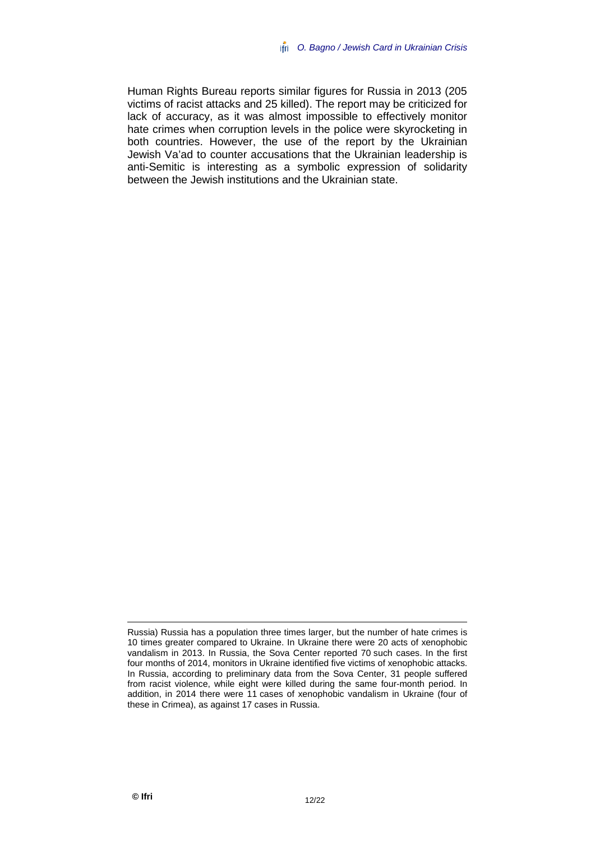Human Rights Bureau reports similar figures for Russia in 2013 (205 victims of racist attacks and 25 killed). The report may be criticized for lack of accuracy, as it was almost impossible to effectively monitor hate crimes when corruption levels in the police were skyrocketing in both countries. However, the use of the report by the Ukrainian Jewish Va'ad to counter accusations that the Ukrainian leadership is anti-Semitic is interesting as a symbolic expression of solidarity between the Jewish institutions and the Ukrainian state.

Russia) Russia has a population three times larger, but the number of hate crimes is 10 times greater compared to Ukraine. In Ukraine there were 20 acts of xenophobic vandalism in 2013. In Russia, the Sova Center reported 70 such cases. In the first four months of 2014, monitors in Ukraine identified five victims of xenophobic attacks. In Russia, according to preliminary data from the Sova Center, 31 people suffered from racist violence, while eight were killed during the same four-month period. In addition, in 2014 there were 11 cases of xenophobic vandalism in Ukraine (four of these in Crimea), as against 17 cases in Russia.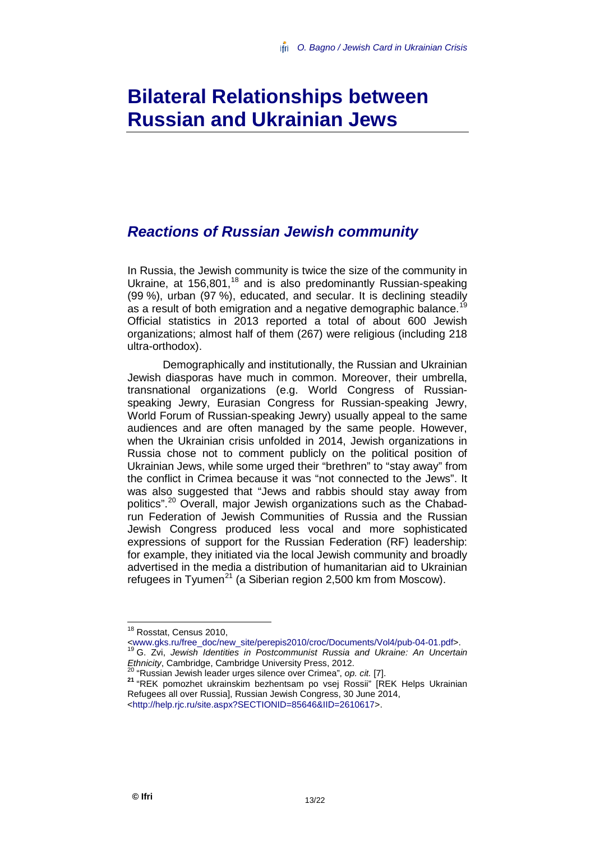# <span id="page-14-0"></span>**Bilateral Relationships between Russian and Ukrainian Jews**

### <span id="page-14-1"></span>*Reactions of Russian Jewish community*

In Russia, the Jewish community is twice the size of the community in Ukraine, at 156,801,<sup>[18](#page-14-2)</sup> and is also predominantly Russian-speaking (99 %), urban (97 %), educated, and secular. It is declining steadily as a result of both emigration and a negative demographic balance.<sup>[19](#page-14-3)</sup> Official statistics in 2013 reported a total of about 600 Jewish organizations; almost half of them (267) were religious (including 218 ultra-orthodox).

Demographically and institutionally, the Russian and Ukrainian Jewish diasporas have much in common. Moreover, their umbrella, transnational organizations (e.g. World Congress of Russianspeaking Jewry, Eurasian Congress for Russian-speaking Jewry, World Forum of Russian-speaking Jewry) usually appeal to the same audiences and are often managed by the same people. However, when the Ukrainian crisis unfolded in 2014, Jewish organizations in Russia chose not to comment publicly on the political position of Ukrainian Jews, while some urged their "brethren" to "stay away" from the conflict in Crimea because it was "not connected to the Jews". It was also suggested that "Jews and rabbis should stay away from politics". [20](#page-14-4) Overall, major Jewish organizations such as the Chabadrun Federation of Jewish Communities of Russia and the Russian Jewish Congress produced less vocal and more sophisticated expressions of support for the Russian Federation (RF) leadership: for example, they initiated via the local Jewish community and broadly advertised in the media a distribution of humanitarian aid to Ukrainian refugees in Tyumen<sup>[21](#page-14-5)</sup> (a Siberian region 2,500 km from Moscow).

<span id="page-14-2"></span><sup>18</sup> Rosstat, Census 2010,<br><www.gks.ru/free\_doc/new\_site/perepis2010/croc/Documents/Vol4/pub-04-01.pdf>. <sup>1[9](http://www.gks.ru/free_doc/new_site/perepis2010/croc/Documents/Vol4/pub-04-01.pdf)</sup> G. Zvi, *Jewish Identities in Postcommunist Russia and Ukraine: An Uncertain*<br>Ethnicity, Cambridge, Cambridge University Press, 2012.

<span id="page-14-5"></span><span id="page-14-4"></span><span id="page-14-3"></span><sup>20 &</sup>quot;Russian Jewish leader urges silence over Crimea", op. cit. [7].<br><sup>21</sup> "REK pomozhet ukrainskim bezhentsam po vsej Rossii" [REK Helps Ukrainian Refugees all over Russia], Russian Jewish Congress, 30 June 2014, [<http://help.rjc.ru/site.aspx?SECTIONID=85646&IID=2610617>](http://help.rjc.ru/site.aspx?SECTIONID=85646&IID=2610617).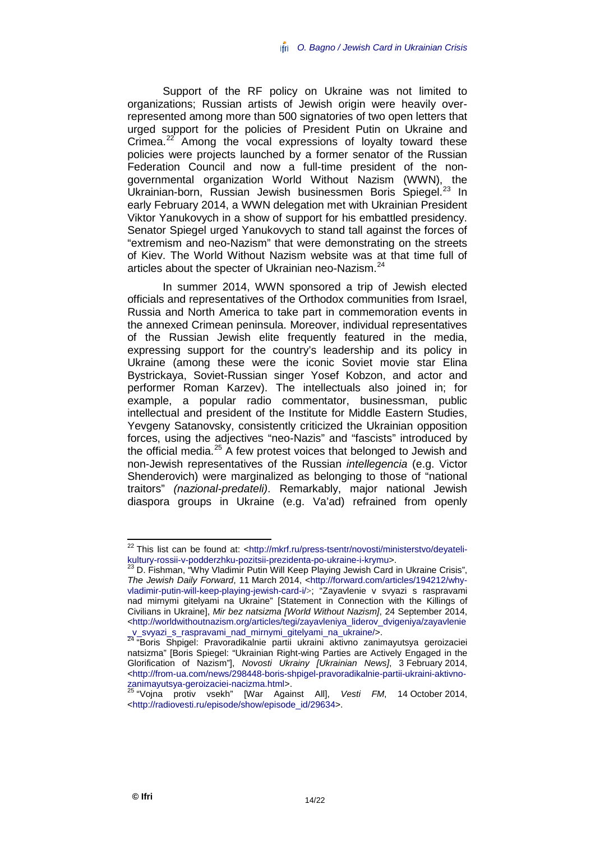Support of the RF policy on Ukraine was not limited to organizations; Russian artists of Jewish origin were heavily overrepresented among more than 500 signatories of two open letters that urged support for the policies of President Putin on Ukraine and Crimea. $^{22}$  $^{22}$  $^{22}$  Among the vocal expressions of loyalty toward these policies were projects launched by a former senator of the Russian Federation Council and now a full-time president of the nongovernmental organization World Without Nazism (WWN), the Ukrainian-born, Russian Jewish businessmen Boris Spiegel.<sup>[23](#page-15-1)</sup> In early February 2014, a WWN delegation met with Ukrainian President Viktor Yanukovych in a show of support for his embattled presidency. Senator Spiegel urged Yanukovych to stand tall against the forces of "extremism and neo-Nazism" that were demonstrating on the streets of Kiev. The World Without Nazism website was at that time full of articles about the specter of Ukrainian neo-Nazism.<sup>[24](#page-15-2)</sup>

In summer 2014, WWN sponsored a trip of Jewish elected officials and representatives of the Orthodox communities from Israel, Russia and North America to take part in commemoration events in the annexed Crimean peninsula. Moreover, individual representatives of the Russian Jewish elite frequently featured in the media, expressing support for the country's leadership and its policy in Ukraine (among these were the iconic Soviet movie star Elina Bystrickaya, Soviet-Russian singer Yosef Kobzon, and actor and performer Roman Karzev). The intellectuals also joined in; for example, a popular radio commentator, businessman, public intellectual and president of the Institute for Middle Eastern Studies, Yevgeny Satanovsky, consistently criticized the Ukrainian opposition forces, using the adjectives "neo-Nazis" and "fascists" introduced by the official media.<sup>[25](#page-15-3)</sup> A few protest voices that belonged to Jewish and non-Jewish representatives of the Russian *intellegencia* (e.g. Victor Shenderovich) were marginalized as belonging to those of "national traitors" *(nazional-predateli)*. Remarkably, major national Jewish diaspora groups in Ukraine (e.g. Va'ad) refrained from openly

<span id="page-15-0"></span> <sup>22</sup> This list can be found at: < [http://mkrf.ru/press-tsentr/novosti/ministerstvo/deyateli](http://mkrf.ru/press-tsentr/novosti/ministerstvo/deyateli-kultury-rossii-v-podderzhku-pozitsii-prezidenta-po-ukraine-i-krymu)[kultury-rossii-v-podderzhku-pozitsii-prezidenta-po-ukraine-i-krymu>](http://mkrf.ru/press-tsentr/novosti/ministerstvo/deyateli-kultury-rossii-v-podderzhku-pozitsii-prezidenta-po-ukraine-i-krymu).<br><sup>[23](http://mkrf.ru/press-tsentr/novosti/ministerstvo/deyateli-kultury-rossii-v-podderzhku-pozitsii-prezidenta-po-ukraine-i-krymu)</sup> D. Fishman, "Why Vladimir Putin Will Keep Playing Jewish Card in Ukraine Crisis",

<span id="page-15-1"></span>*The Jewish Daily Forward*, 11 March 2014, [<http://forward.com/articles/194212/why](http://forward.com/articles/194212/why-vladimir-putin-will-keep-playing-jewish-card-i/)[vladimir-putin-will-keep-playing-jewish-card-i/](http://forward.com/articles/194212/why-vladimir-putin-will-keep-playing-jewish-card-i/)>; "Zayavlenie v svyazi s raspravami nad mirnymi gitelyami na Ukraine" [Statement in Connection with the Killings of Civilians in Ukraine], *Mir bez natsizma [World Without Nazism]*, 24 September 2014, [<http://worldwithoutnazism.org/articles/tegi/zayavleniya\\_liderov\\_dvigeniya/zayavlenie](http://worldwithoutnazism.org/articles/tegi/zayavleniya_liderov_dvigeniya/zayavlenie_v_svyazi_s_raspravami_nad_mirnymi_gitelyami_na_ukraine/)<br>v svyazi s raspravami nad mirnymi gitelyami na ukraine/>.

<span id="page-15-2"></span>[\\_v\\_svyazi\\_s\\_raspravami\\_nad\\_mirnymi\\_gitelyami\\_na\\_ukraine/>](http://worldwithoutnazism.org/articles/tegi/zayavleniya_liderov_dvigeniya/zayavlenie_v_svyazi_s_raspravami_nad_mirnymi_gitelyami_na_ukraine/). <sup>24</sup> "Boris Shpigel: Pravoradikalnie partii ukraini aktivno zanimayutsya geroizaciei natsizma" [Boris Spiegel: "Ukrainian Right-wing Parties are Actively Engaged in the Glorification of Nazism"], *Novosti Ukrainy [Ukrainian News]*, 3 February 2014, [<http://from-ua.com/news/298448-boris-shpigel-pravoradikalnie-partii-ukraini-aktivno](http://from-ua.com/news/298448-boris-shpigel-pravoradikalnie-partii-ukraini-aktivno-zanimayutsya-geroizaciei-nacizma.html)[zanimayutsya-geroizaciei-nacizma.html>](http://from-ua.com/news/298448-boris-shpigel-pravoradikalnie-partii-ukraini-aktivno-zanimayutsya-geroizaciei-nacizma.html). <sup>25</sup> "Vojna protiv vsekh" [War Against All], *Vesti FM*, 14 October 2014,

<span id="page-15-3"></span>[<sup>&</sup>lt;http://radiovesti.ru/episode/show/episode\\_id/29634>](http://radiovesti.ru/episode/show/episode_id/29634).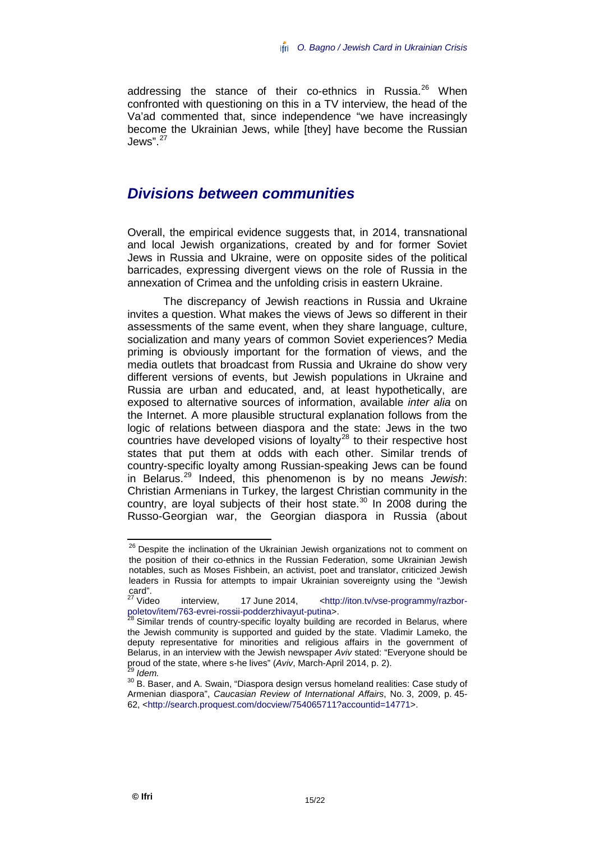addressing the stance of their co-ethnics in Russia.<sup>[26](#page-16-1)</sup> When confronted with questioning on this in a TV interview, the head of the Va'ad commented that, since independence "we have increasingly become the Ukrainian Jews, while [they] have become the Russian Jews". $27$ 

### <span id="page-16-0"></span>*Divisions between communities*

Overall, the empirical evidence suggests that, in 2014, transnational and local Jewish organizations, created by and for former Soviet Jews in Russia and Ukraine, were on opposite sides of the political barricades, expressing divergent views on the role of Russia in the annexation of Crimea and the unfolding crisis in eastern Ukraine.

The discrepancy of Jewish reactions in Russia and Ukraine invites a question. What makes the views of Jews so different in their assessments of the same event, when they share language, culture, socialization and many years of common Soviet experiences? Media priming is obviously important for the formation of views, and the media outlets that broadcast from Russia and Ukraine do show very different versions of events, but Jewish populations in Ukraine and Russia are urban and educated, and, at least hypothetically, are exposed to alternative sources of information, available *inter alia* on the Internet. A more plausible structural explanation follows from the logic of relations between diaspora and the state: Jews in the two countries have developed visions of loyalty<sup>[28](#page-16-3)</sup> to their respective host states that put them at odds with each other. Similar trends of country-specific loyalty among Russian-speaking Jews can be found in Belarus. [29](#page-16-4) Indeed, this phenomenon is by no means *Jewish*: Christian Armenians in Turkey, the largest Christian community in the country, are loyal subjects of their host state.<sup>[30](#page-16-5)</sup> In 2008 during the Russo-Georgian war, the Georgian diaspora in Russia (about

<span id="page-16-1"></span><sup>&</sup>lt;sup>26</sup> Despite the inclination of the Ukrainian Jewish organizations not to comment on the position of their co-ethnics in the Russian Federation, some Ukrainian Jewish notables, such as Moses Fishbein, an activist, poet and translator, criticized Jewish leaders in Russia for attempts to impair Ukrainian sovereignty using the "Jewish card".<br><sup>27</sup> Video

<span id="page-16-2"></span>interview, 17 June 2014, [<http://iton.tv/vse-programmy/razbor](http://iton.tv/vse-programmy/razbor-poletov/item/763-evrei-rossii-podderzhivayut-putina)[poletov/item/763-evrei-rossii-podderzhivayut-putina>](http://iton.tv/vse-programmy/razbor-poletov/item/763-evrei-rossii-podderzhivayut-putina).<br><sup>28</sup> Similar trends of country-specific loyalty building are recorded in Belarus, where

<span id="page-16-3"></span>the Jewish community is supported and guided by the state. Vladimir Lameko, the deputy representative for minorities and religious affairs in the government of Belarus, in an interview with the Jewish newspaper *Aviv* stated: "Everyone should be

<span id="page-16-5"></span><span id="page-16-4"></span><sup>&</sup>lt;sup>29</sup> Idem.<br><sup>30</sup> B. Baser, and A. Swain, "Diaspora design versus homeland realities: Case study of Armenian diaspora", *Caucasian Review of International Affairs*, No. 3, 2009, p. 45- 62, [<http://search.proquest.com/docview/754065711?accountid=14771>](http://search.proquest.com/docview/754065711?accountid=14771).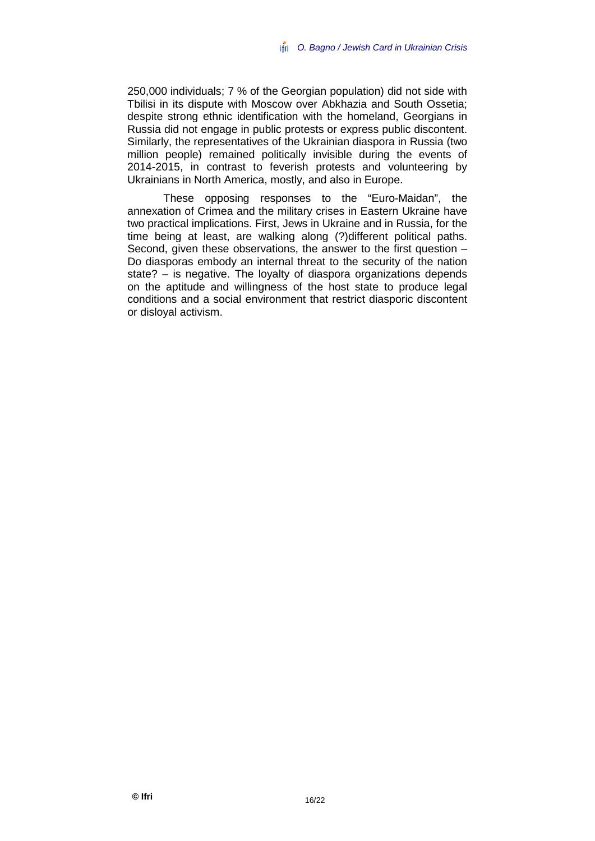250,000 individuals; 7 % of the Georgian population) did not side with Tbilisi in its dispute with Moscow over Abkhazia and South Ossetia; despite strong ethnic identification with the homeland, Georgians in Russia did not engage in public protests or express public discontent. Similarly, the representatives of the Ukrainian diaspora in Russia (two million people) remained politically invisible during the events of 2014-2015, in contrast to feverish protests and volunteering by Ukrainians in North America, mostly, and also in Europe.

These opposing responses to the "Euro-Maidan", the annexation of Crimea and the military crises in Eastern Ukraine have two practical implications. First, Jews in Ukraine and in Russia, for the time being at least, are walking along (?)different political paths. Second, given these observations, the answer to the first question  $-$ Do diasporas embody an internal threat to the security of the nation state? – is negative. The loyalty of diaspora organizations depends on the aptitude and willingness of the host state to produce legal conditions and a social environment that restrict diasporic discontent or disloyal activism.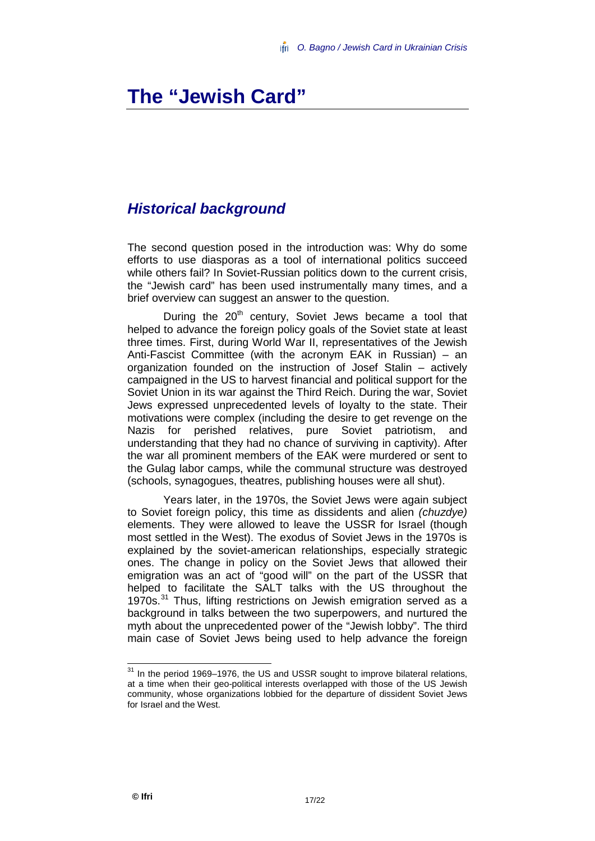## <span id="page-18-0"></span>**The "Jewish Card"**

### <span id="page-18-1"></span>*Historical background*

The second question posed in the introduction was: Why do some efforts to use diasporas as a tool of international politics succeed while others fail? In Soviet-Russian politics down to the current crisis, the "Jewish card" has been used instrumentally many times, and a brief overview can suggest an answer to the question.

During the  $20<sup>th</sup>$  century, Soviet Jews became a tool that helped to advance the foreign policy goals of the Soviet state at least three times. First, during World War II, representatives of the Jewish Anti-Fascist Committee (with the acronym EAK in Russian) – an organization founded on the instruction of Josef Stalin – actively campaigned in the US to harvest financial and political support for the Soviet Union in its war against the Third Reich. During the war, Soviet Jews expressed unprecedented levels of loyalty to the state. Their motivations were complex (including the desire to get revenge on the Nazis for perished relatives, pure Soviet patriotism, and understanding that they had no chance of surviving in captivity). After the war all prominent members of the EAK were murdered or sent to the Gulag labor camps, while the communal structure was destroyed (schools, synagogues, theatres, publishing houses were all shut).

Years later, in the 1970s, the Soviet Jews were again subject to Soviet foreign policy, this time as dissidents and alien *(chuzdye)* elements. They were allowed to leave the USSR for Israel (though most settled in the West). The exodus of Soviet Jews in the 1970s is explained by the soviet-american relationships, especially strategic ones. The change in policy on the Soviet Jews that allowed their emigration was an act of "good will" on the part of the USSR that helped to facilitate the SALT talks with the US throughout the 1970s.<sup>[31](#page-18-2)</sup> Thus, lifting restrictions on Jewish emigration served as a background in talks between the two superpowers, and nurtured the myth about the unprecedented power of the "Jewish lobby". The third main case of Soviet Jews being used to help advance the foreign

<span id="page-18-2"></span> $31$  In the period 1969–1976, the US and USSR sought to improve bilateral relations, at a time when their geo-political interests overlapped with those of the US Jewish community, whose organizations lobbied for the departure of dissident Soviet Jews for Israel and the West.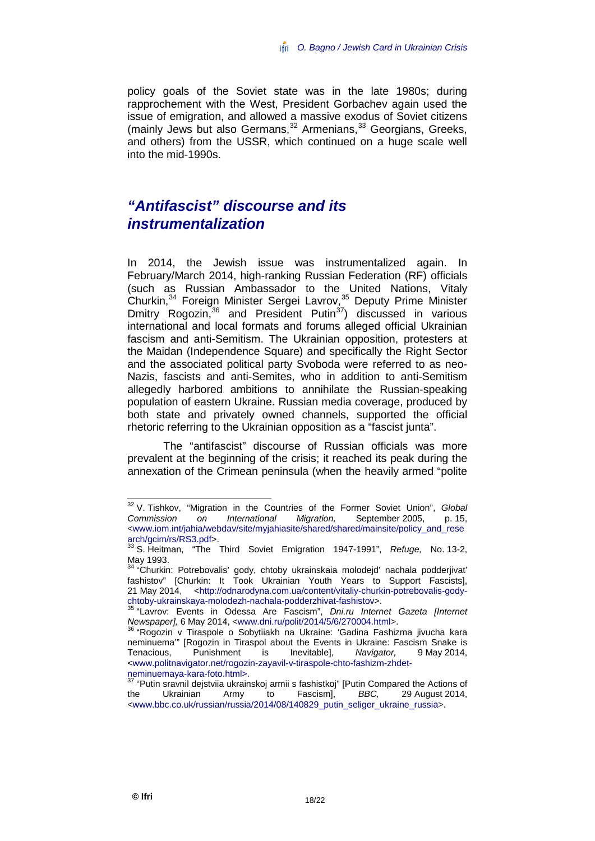policy goals of the Soviet state was in the late 1980s; during rapprochement with the West, President Gorbachev again used the issue of emigration, and allowed a massive exodus of Soviet citizens (mainly Jews but also Germans, [32](#page-19-1) Armenians, [33](#page-19-2) Georgians, Greeks, and others) from the USSR, which continued on a huge scale well into the mid-1990s.

### <span id="page-19-0"></span>*"Antifascist" discourse and its instrumentalization*

In 2014, the Jewish issue was instrumentalized again. In February/March 2014, high-ranking Russian Federation (RF) officials (such as Russian Ambassador to the United Nations, Vitaly Churkin,<sup>[34](#page-19-3)</sup> Foreign Minister Sergei Lavrov,<sup>[35](#page-19-4)</sup> Deputy Prime Minister Dmitry Rogozin,  $36$  and President Putin<sup>[37](#page-19-6)</sup>) discussed in various international and local formats and forums alleged official Ukrainian fascism and anti-Semitism. The Ukrainian opposition, protesters at the Maidan (Independence Square) and specifically the Right Sector and the associated political party Svoboda were referred to as neo-Nazis, fascists and anti-Semites, who in addition to anti-Semitism allegedly harbored ambitions to annihilate the Russian-speaking population of eastern Ukraine. Russian media coverage, produced by both state and privately owned channels, supported the official rhetoric referring to the Ukrainian opposition as a "fascist junta".

The "antifascist" discourse of Russian officials was more prevalent at the beginning of the crisis; it reached its peak during the annexation of the Crimean peninsula (when the heavily armed "polite

<span id="page-19-1"></span><sup>&</sup>lt;sup>32</sup> V. Tishkov, "Migration in the Countries of the Former Soviet Union", *Global* Commission on International Migration, September 2005, p. 15, *Commission on International Migration,* September 2005, p. 15, [<www.iom.int/jahia/webdav/site/myjahiasite/shared/shared/mainsite/policy\\_and\\_rese](https://www.iom.int/jahia/webdav/site/myjahiasite/shared/shared/mainsite/policy_and_research/gcim/rs/RS3.pdf)

<span id="page-19-2"></span>arch/gcim/rs/Rechem/rs/RS2.pdf<br><sup>33</sup> S. Heitman, "The Third Soviet Emigration 1947-1991", *Refuge, No.* 13-2, May 1993.

<span id="page-19-3"></span><sup>&</sup>lt;sup>4</sup> "Churkin: Potrebovalis' gody, chtoby ukrainskaia molodejd' nachala podderjivat' fashistov" [Churkin: It Took Ukrainian Youth Years to Support Fascists], 21 May 2014, [<http://odnarodyna.com.ua/content/vitaliy-churkin-potrebovalis-gody](http://odnarodyna.com.ua/content/vitaliy-churkin-potrebovalis-gody-chtoby-ukrainskaya-molodezh-nachala-podderzhivat-fashistov)[chtoby-ukrainskaya-molodezh-nachala-podderzhivat-fashistov>](http://odnarodyna.com.ua/content/vitaliy-churkin-potrebovalis-gody-chtoby-ukrainskaya-molodezh-nachala-podderzhivat-fashistov). <sup>35</sup> "Lavrov: Events in Odessa Are Fascism", *Dni.ru Internet Gazeta [Internet* 

<span id="page-19-4"></span>*Newspaper], 6 May 2014, [<www.dni.ru/polit/2014/5/6/270004.html>](http://www.dni.ru/polit/2014/5/6/270004.html).* 36 "Rogozin v Tiraspole o Sobytiiakh na Ukraine: 'Gadina Fashizma jivucha kara

<span id="page-19-5"></span>neminuema'" [Rogozin in Tiraspol about the Events in Ukraine: Fascism Snake is<br>Tenacious, Punishment is Inevitable], Navigator, 9 May 2014, Tenacious, Punishment is Inevitable], *Navigator,* 9 May 2014, <www.politnavigator.net/rogozin-zayavil-v-tiraspole-chto-fashizm-zhdet-<br>neminuemaya-kara-foto.html>.

<span id="page-19-6"></span><sup>&</sup>quot;Putin sravnil deistviia ukrainskoi armii s fashistkoi" [Putin Compared the Actions of the Ukrainian Army to Fascism], *BBC,* 29 August 2014, [<www.bbc.co.uk/russian/russia/2014/08/140829\\_putin\\_seliger\\_ukraine\\_russia>](http://www.bbc.co.uk/russian/russia/2014/08/140829_putin_seliger_ukraine_russia).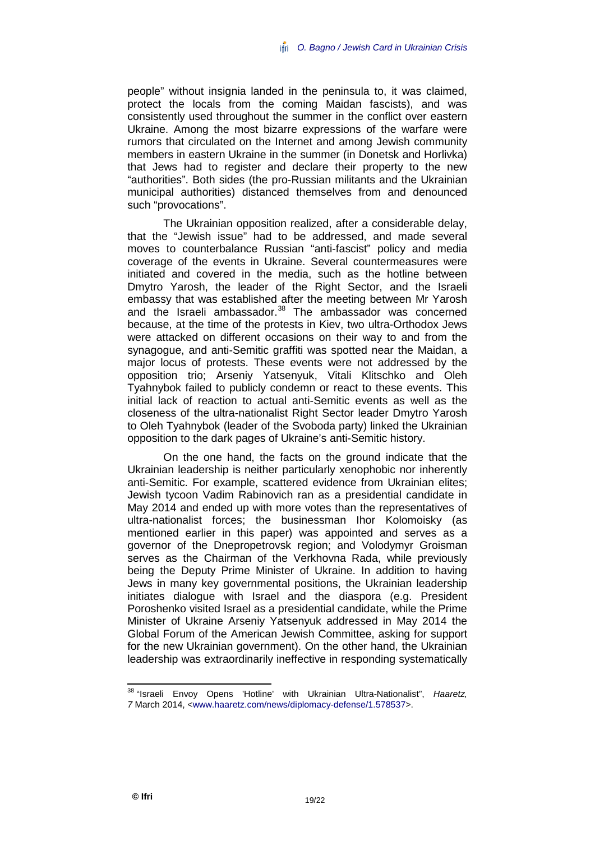people" without insignia landed in the peninsula to, it was claimed, protect the locals from the coming Maidan fascists), and was consistently used throughout the summer in the conflict over eastern Ukraine. Among the most bizarre expressions of the warfare were rumors that circulated on the Internet and among Jewish community members in eastern Ukraine in the summer (in Donetsk and Horlivka) that Jews had to register and declare their property to the new "authorities". Both sides (the pro-Russian militants and the Ukrainian municipal authorities) distanced themselves from and denounced such "provocations".

The Ukrainian opposition realized, after a considerable delay, that the "Jewish issue" had to be addressed, and made several moves to counterbalance Russian "anti-fascist" policy and media coverage of the events in Ukraine. Several countermeasures were initiated and covered in the media, such as the hotline between Dmytro Yarosh, the leader of the Right Sector, and the Israeli embassy that was established after the meeting between Mr Yarosh and the Israeli ambassador.<sup>[38](#page-20-0)</sup> The ambassador was concerned because, at the time of the protests in Kiev, two ultra-Orthodox Jews were attacked on different occasions on their way to and from the synagogue, and anti-Semitic graffiti was spotted near the Maidan, a major locus of protests. These events were not addressed by the opposition trio; Arseniy Yatsenyuk, Vitali Klitschko and Oleh Tyahnybok failed to publicly condemn or react to these events. This initial lack of reaction to actual anti-Semitic events as well as the closeness of the ultra-nationalist Right Sector leader Dmytro Yarosh to Oleh Tyahnybok (leader of the Svoboda party) linked the Ukrainian opposition to the dark pages of Ukraine's anti-Semitic history.

On the one hand, the facts on the ground indicate that the Ukrainian leadership is neither particularly xenophobic nor inherently anti-Semitic. For example, scattered evidence from Ukrainian elites; Jewish tycoon Vadim Rabinovich ran as a presidential candidate in May 2014 and ended up with more votes than the representatives of ultra-nationalist forces; the businessman Ihor Kolomoisky (as mentioned earlier in this paper) was appointed and serves as a governor of the Dnepropetrovsk region; and Volodymyr Groisman serves as the Chairman of the Verkhovna Rada, while previously being the Deputy Prime Minister of Ukraine. In addition to having Jews in many key governmental positions, the Ukrainian leadership initiates dialogue with Israel and the diaspora (e.g. President Poroshenko visited Israel as a presidential candidate, while the Prime Minister of Ukraine Arseniy Yatsenyuk addressed in May 2014 the Global Forum of the American Jewish Committee, asking for support for the new Ukrainian government). On the other hand, the Ukrainian leadership was extraordinarily ineffective in responding systematically

<span id="page-20-0"></span> <sup>38</sup> "Israeli Envoy Opens 'Hotline' with Ukrainian Ultra-Nationalist", *Haaretz, 7* March 2014, [<www.haaretz.com/news/diplomacy-defense/1.578537>](http://www.haaretz.com/news/diplomacy-defense/1.578537).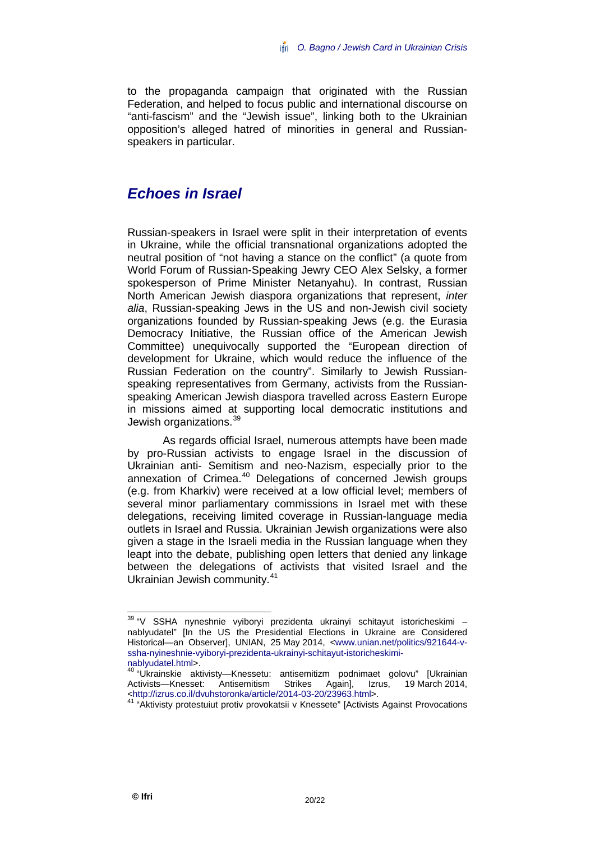to the propaganda campaign that originated with the Russian Federation, and helped to focus public and international discourse on "anti-fascism" and the "Jewish issue", linking both to the Ukrainian opposition's alleged hatred of minorities in general and Russianspeakers in particular.

### <span id="page-21-0"></span>*Echoes in Israel*

Russian-speakers in Israel were split in their interpretation of events in Ukraine, while the official transnational organizations adopted the neutral position of "not having a stance on the conflict" (a quote from World Forum of Russian-Speaking Jewry CEO Alex Selsky, a former spokesperson of Prime Minister Netanyahu). In contrast, Russian North American Jewish diaspora organizations that represent, *inter alia*, Russian-speaking Jews in the US and non-Jewish civil society organizations founded by Russian-speaking Jews (e.g. the Eurasia Democracy Initiative, the Russian office of the American Jewish Committee) unequivocally supported the "European direction of development for Ukraine, which would reduce the influence of the Russian Federation on the country". Similarly to Jewish Russianspeaking representatives from Germany, activists from the Russianspeaking American Jewish diaspora travelled across Eastern Europe in missions aimed at supporting local democratic institutions and Jewish organizations.<sup>[39](#page-21-1)</sup>

As regards official Israel, numerous attempts have been made by pro-Russian activists to engage Israel in the discussion of Ukrainian anti- Semitism and neo-Nazism, especially prior to the annexation of Crimea.<sup>[40](#page-21-2)</sup> Delegations of concerned Jewish groups (e.g. from Kharkiv) were received at a low official level; members of several minor parliamentary commissions in Israel met with these delegations, receiving limited coverage in Russian-language media outlets in Israel and Russia. Ukrainian Jewish organizations were also given a stage in the Israeli media in the Russian language when they leapt into the debate, publishing open letters that denied any linkage between the delegations of activists that visited Israel and the Ukrainian Jewish community.[41](#page-21-3)

<span id="page-21-1"></span><sup>&</sup>lt;sup>39</sup> "V SSHA nyneshnie vyiboryi prezidenta ukrainyi schitayut istoricheskimi – nablyudatel" [In the US the Presidential Elections in Ukraine are Considered Historical—an Observer], UNIAN, 25 May 2014, [<www.unian.net/politics/921644-v](http://www.unian.net/politics/921644-v-ssha-nyineshnie-vyiboryi-prezidenta-ukrainyi-schitayut-istoricheskimi-nablyudatel.html)[ssha-nyineshnie-vyiboryi-prezidenta-ukrainyi-schitayut-istoricheskimi-](http://www.unian.net/politics/921644-v-ssha-nyineshnie-vyiboryi-prezidenta-ukrainyi-schitayut-istoricheskimi-nablyudatel.html)

<span id="page-21-2"></span>[nablyudatel.html>](http://www.unian.net/politics/921644-v-ssha-nyineshnie-vyiboryi-prezidenta-ukrainyi-schitayut-istoricheskimi-nablyudatel.html).<br><sup>40</sup> "Ukrainskie aktivisty—Knessetu: antisemitizm podnimaet golovu" [Ukrainian<br>Activists—Knesset: Antisemitism Strikes Again]. Izrus. 19 March 2014. Activists—Knesset: Antisemitism Strikes Again], Izrus, 19 March 2014, [<http://izrus.co.il/dvuhstoronka/article/2014-03-20/23963.html>](http://izrus.co.il/dvuhstoronka/article/2014-03-20/23963.html). <sup>41</sup> "Aktivisty protestuiut protiv provokatsii v Knessete" [Activists Against Provocations

<span id="page-21-3"></span>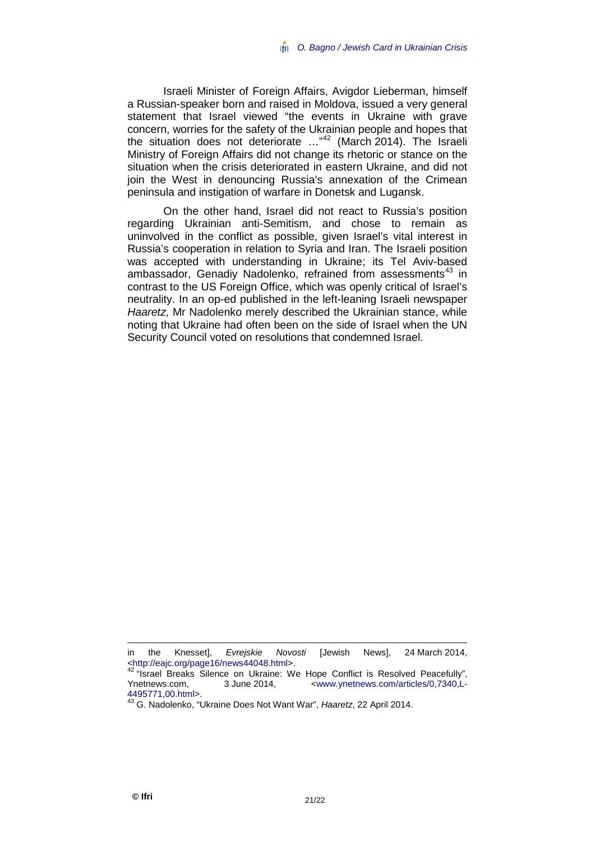Israeli Minister of Foreign Affairs, Avigdor Lieberman, himself a Russian-speaker born and raised in Moldova, issued a very general statement that Israel viewed "the events in Ukraine with grave concern, worries for the safety of the Ukrainian people and hopes that the situation does not deteriorate ..."<sup>[42](#page-22-0)</sup> (March 2014). The Israeli Ministry of Foreign Affairs did not change its rhetoric or stance on the situation when the crisis deteriorated in eastern Ukraine, and did not join the West in denouncing Russia's annexation of the Crimean peninsula and instigation of warfare in Donetsk and Lugansk.

On the other hand, Israel did not react to Russia's position regarding Ukrainian anti-Semitism, and chose to remain as uninvolved in the conflict as possible, given Israel's vital interest in Russia's cooperation in relation to Syria and Iran. The Israeli position was accepted with understanding in Ukraine; its Tel Aviv-based ambassador, Genadiy Nadolenko, refrained from assessments<sup>[43](#page-22-1)</sup> in contrast to the US Foreign Office, which was openly critical of Israel's neutrality. In an op-ed published in the left-leaning Israeli newspaper *Haaretz*, Mr Nadolenko merely described the Ukrainian stance, while noting that Ukraine had often been on the side of Israel when the UN Security Council voted on resolutions that condemned Israel.

in the Knesset], *Evrejskie Novosti* [Jewish News], 24 March 2014,

<span id="page-22-0"></span><sup>%</sup>[<http://eajc.org/page16/news44048.html>](http://eajc.org/page16/news44048.html).<br>
4[2](http://eajc.org/page16/news44048.html) "Israel Breaks Silence on Ukraine: We Hope Conflict is Resolved Peacefully",<br>
Ynetnews.com. 3 June 2014. <www.vnetnews.com/articles/0.7340.L Ynetnews.com, 3 June 2014, <br>
4495771.00.html>.

<span id="page-22-1"></span>[<sup>4495771,00.</sup>html>](http://www.ynetnews.com/articles/0,7340,L-4495771,00.html). <sup>43</sup> G. Nadolenko, "Ukraine Does Not Want War", *Haaretz*, 22 April 2014.